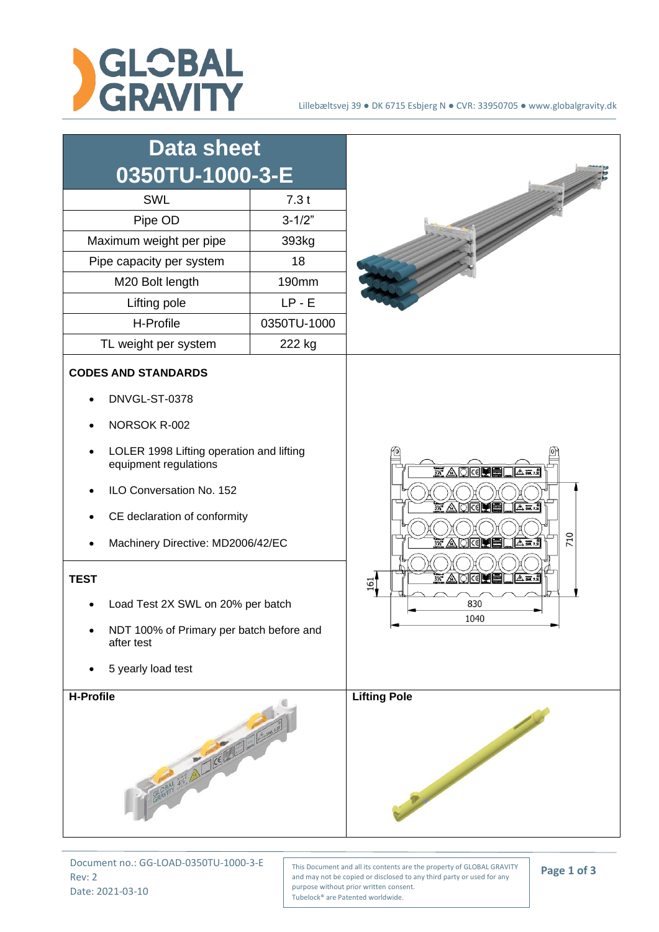



Document no.: GG-LOAD-0350TU-1000-3-E Rev: 2 Date: 2021-03-10

This Document and all its contents are the property of GLOBAL GRAVITY and may not be copied or disclosed to any third party or used for any purpose without prior written consent. Tubelock® are Patented worldwide.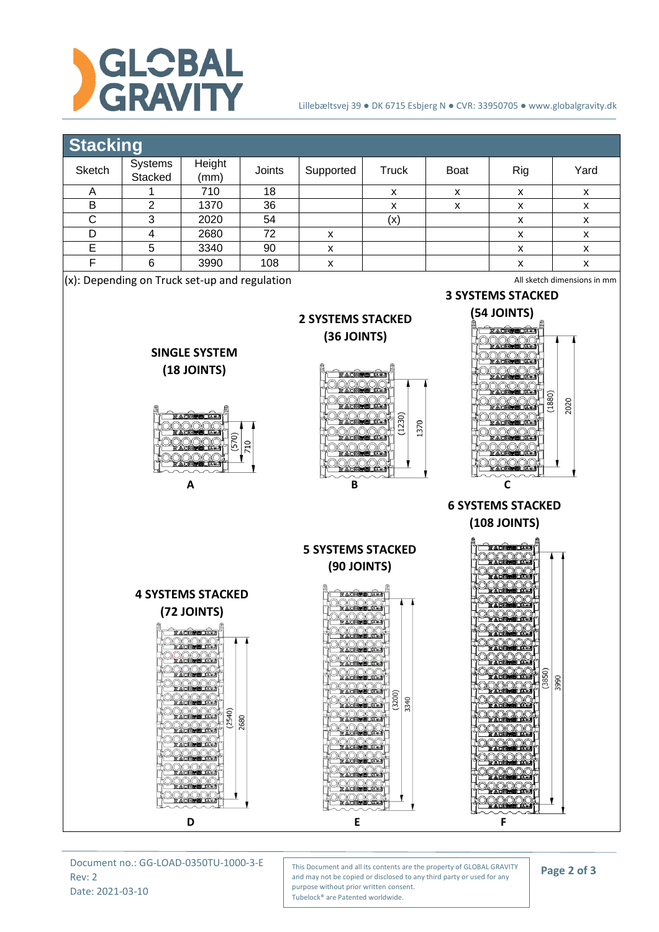

## Lillebæltsvej 39 ● DK 6715 Esbjerg N ● CVR: 33950705 ● www.globalgravity.dk

## **Stacking**

| _______                                                                         |                    |                |        |           |       |             |     |      |  |  |  |
|---------------------------------------------------------------------------------|--------------------|----------------|--------|-----------|-------|-------------|-----|------|--|--|--|
| <b>Sketch</b>                                                                   | Systems<br>Stacked | Height<br>(mm) | Joints | Supported | Truck | <b>Boat</b> | Rig | Yard |  |  |  |
|                                                                                 |                    | 710            | 18     |           | x     | x           | x   | x    |  |  |  |
| B                                                                               | ົ                  | 1370           | 36     |           | x     | x           | x   | x    |  |  |  |
| С                                                                               | 3                  | 2020           | 54     |           | (x)   |             | x   | x    |  |  |  |
|                                                                                 |                    | 2680           | 72     | х         |       |             | x   | х    |  |  |  |
| F                                                                               | 5                  | 3340           | 90     | x         |       |             | x   | x    |  |  |  |
|                                                                                 | 6                  | 3990           | 108    | х         |       |             | x   | x    |  |  |  |
| $(x)$ : Depending on Truck set-up and regulation<br>All sketch dimensions in mm |                    |                |        |           |       |             |     |      |  |  |  |
| <b>3 SYSTEMS STACKED</b>                                                        |                    |                |        |           |       |             |     |      |  |  |  |



Document no.: GG-LOAD-0350TU-1000-3-E Rev: 2 Date: 2021-03-10

This Document and all its contents are the property of GLOBAL GRAVITY and may not be copied or disclosed to any third party or used for any purpose without prior written consent. Tubelock® are Patented worldwide.

**Page 2 of 3**